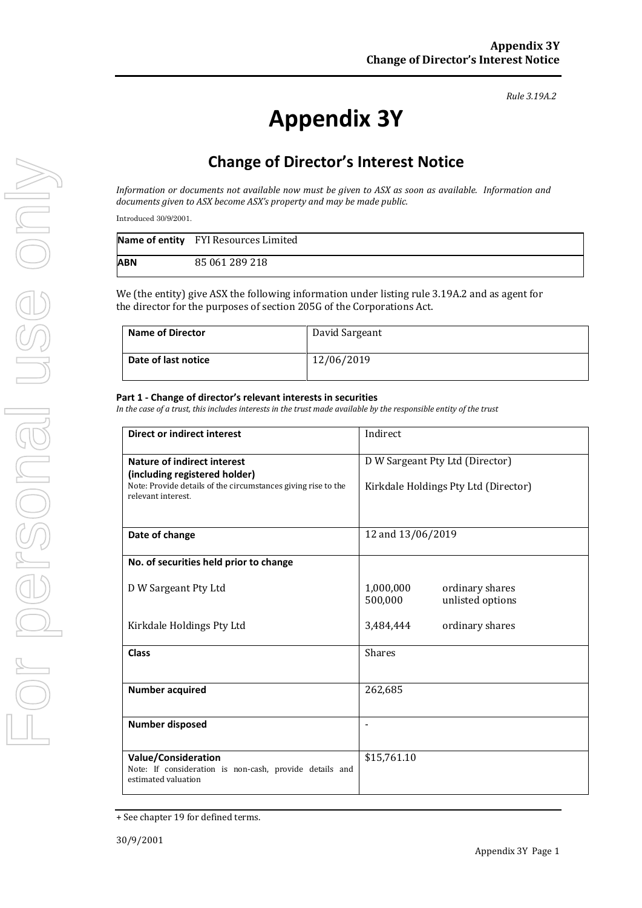#### *Rule 3.19A.2*

# **Appendix 3Y**

# **Change of Director's Interest Notice**

*Information or documents not available now must be given to ASX as soon as available. Information and documents given to ASX become ASX's property and may be made public.*

Introduced 30/9/2001.

|     | Name of entity FYI Resources Limited |
|-----|--------------------------------------|
| ABN | 85 061 289 218                       |

We (the entity) give ASX the following information under listing rule 3.19A.2 and as agent for the director for the purposes of section 205G of the Corporations Act.

| Name of Director    | David Sargeant |
|---------------------|----------------|
| Date of last notice | 12/06/2019     |

#### **Part 1 - Change of director's relevant interests in securities**

*In the case of a trust, this includes interests in the trust made available by the responsible entity of the trust*

| <b>Direct or indirect interest</b>                                                                           | Indirect                                                    |  |
|--------------------------------------------------------------------------------------------------------------|-------------------------------------------------------------|--|
| <b>Nature of indirect interest</b><br>(including registered holder)                                          | D W Sargeant Pty Ltd (Director)                             |  |
| Note: Provide details of the circumstances giving rise to the<br>relevant interest.                          | Kirkdale Holdings Pty Ltd (Director)                        |  |
| Date of change                                                                                               | 12 and 13/06/2019                                           |  |
| No. of securities held prior to change                                                                       |                                                             |  |
| D W Sargeant Pty Ltd                                                                                         | 1,000,000<br>ordinary shares<br>500,000<br>unlisted options |  |
| Kirkdale Holdings Pty Ltd                                                                                    | 3,484,444<br>ordinary shares                                |  |
| <b>Class</b>                                                                                                 | <b>Shares</b>                                               |  |
| <b>Number acquired</b>                                                                                       | 262,685                                                     |  |
| Number disposed                                                                                              |                                                             |  |
| <b>Value/Consideration</b><br>Note: If consideration is non-cash, provide details and<br>estimated valuation | \$15,761.10                                                 |  |

<sup>+</sup> See chapter 19 for defined terms.